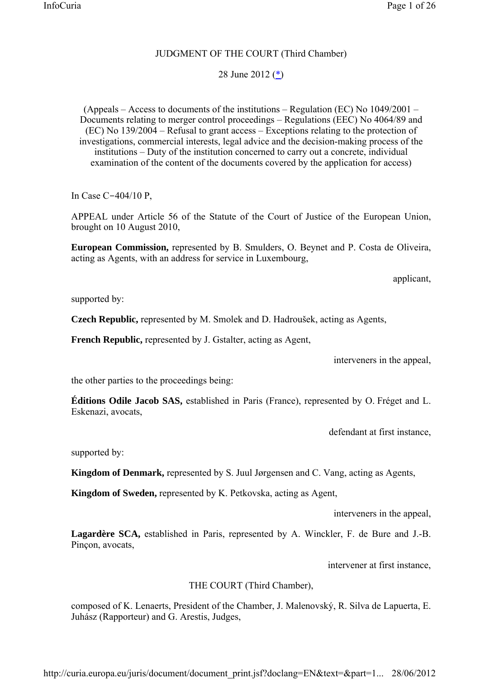## JUDGMENT OF THE COURT (Third Chamber)

# 28 June 2012  $(\frac{*}{2})$

(Appeals – Access to documents of the institutions – Regulation (EC) No 1049/2001 – Documents relating to merger control proceedings – Regulations (EEC) No 4064/89 and (EC) No 139/2004 – Refusal to grant access – Exceptions relating to the protection of investigations, commercial interests, legal advice and the decision-making process of the institutions – Duty of the institution concerned to carry out a concrete, individual examination of the content of the documents covered by the application for access)

In Case C-404/10 P,

APPEAL under Article 56 of the Statute of the Court of Justice of the European Union, brought on 10 August 2010,

**European Commission,** represented by B. Smulders, O. Beynet and P. Costa de Oliveira, acting as Agents, with an address for service in Luxembourg,

applicant,

supported by:

**Czech Republic,** represented by M. Smolek and D. Hadroušek, acting as Agents,

**French Republic,** represented by J. Gstalter, acting as Agent,

interveners in the appeal,

the other parties to the proceedings being:

**Éditions Odile Jacob SAS,** established in Paris (France), represented by O. Fréget and L. Eskenazi, avocats,

defendant at first instance,

supported by:

**Kingdom of Denmark,** represented by S. Juul Jørgensen and C. Vang, acting as Agents,

**Kingdom of Sweden,** represented by K. Petkovska, acting as Agent,

interveners in the appeal,

**Lagardère SCA,** established in Paris, represented by A. Winckler, F. de Bure and J.-B. Pinçon, avocats,

intervener at first instance,

### THE COURT (Third Chamber),

composed of K. Lenaerts, President of the Chamber, J. Malenovský, R. Silva de Lapuerta, E. Juhász (Rapporteur) and G. Arestis, Judges,

http://curia.europa.eu/juris/document/document\_print.jsf?doclang=EN&text=&part=1... 28/06/2012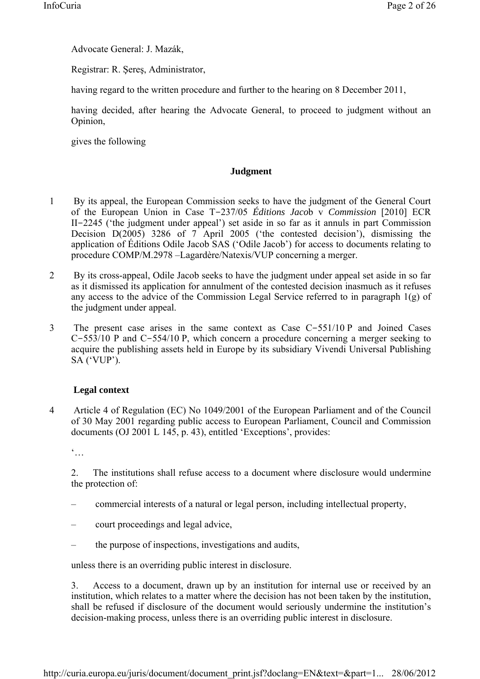Advocate General: J. Mazák,

Registrar: R. Şereş, Administrator,

having regard to the written procedure and further to the hearing on 8 December 2011,

having decided, after hearing the Advocate General, to proceed to judgment without an Opinion,

gives the following

# **Judgment**

- 1 By its appeal, the European Commission seeks to have the judgment of the General Court of the European Union in Case T-237/05 *Éditions Jaco*b v *Commission* [2010] ECR II-2245 ('the judgment under appeal') set aside in so far as it annuls in part Commission Decision D(2005) 3286 of 7 April 2005 ('the contested decision'), dismissing the application of Éditions Odile Jacob SAS ('Odile Jacob') for access to documents relating to procedure COMP/M.2978 –Lagardère/Natexis/VUP concerning a merger.
- 2 By its cross-appeal, Odile Jacob seeks to have the judgment under appeal set aside in so far as it dismissed its application for annulment of the contested decision inasmuch as it refuses any access to the advice of the Commission Legal Service referred to in paragraph 1(g) of the judgment under appeal.
- 3 The present case arises in the same context as Case C-551/10 P and Joined Cases C-553/10 P and C-554/10 P, which concern a procedure concerning a merger seeking to acquire the publishing assets held in Europe by its subsidiary Vivendi Universal Publishing SA ('VUP').

# **Legal context**

4 Article 4 of Regulation (EC) No 1049/2001 of the European Parliament and of the Council of 30 May 2001 regarding public access to European Parliament, Council and Commission documents (OJ 2001 L 145, p. 43), entitled 'Exceptions', provides:

 $\ddot{\cdot}$ .

2. The institutions shall refuse access to a document where disclosure would undermine the protection of:

- commercial interests of a natural or legal person, including intellectual property,
- court proceedings and legal advice,
- the purpose of inspections, investigations and audits,

unless there is an overriding public interest in disclosure.

3. Access to a document, drawn up by an institution for internal use or received by an institution, which relates to a matter where the decision has not been taken by the institution, shall be refused if disclosure of the document would seriously undermine the institution's decision-making process, unless there is an overriding public interest in disclosure.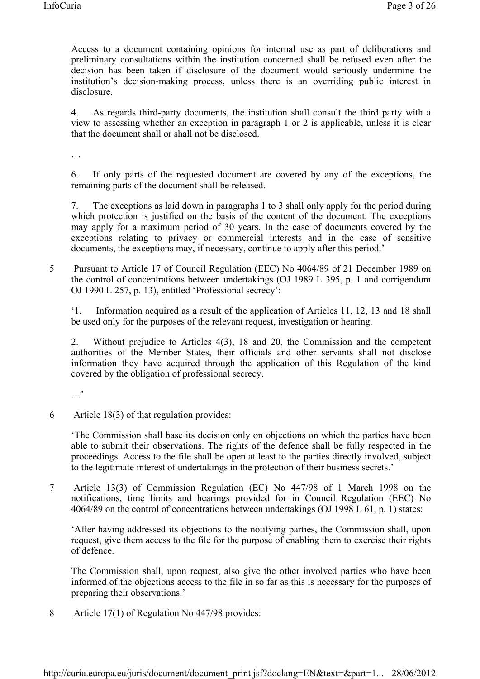Access to a document containing opinions for internal use as part of deliberations and preliminary consultations within the institution concerned shall be refused even after the decision has been taken if disclosure of the document would seriously undermine the institution's decision-making process, unless there is an overriding public interest in disclosure.

4. As regards third-party documents, the institution shall consult the third party with a view to assessing whether an exception in paragraph 1 or 2 is applicable, unless it is clear that the document shall or shall not be disclosed.

…

6. If only parts of the requested document are covered by any of the exceptions, the remaining parts of the document shall be released.

7. The exceptions as laid down in paragraphs 1 to 3 shall only apply for the period during which protection is justified on the basis of the content of the document. The exceptions may apply for a maximum period of 30 years. In the case of documents covered by the exceptions relating to privacy or commercial interests and in the case of sensitive documents, the exceptions may, if necessary, continue to apply after this period.'

5 Pursuant to Article 17 of Council Regulation (EEC) No 4064/89 of 21 December 1989 on the control of concentrations between undertakings (OJ 1989 L 395, p. 1 and corrigendum OJ 1990 L 257, p. 13), entitled 'Professional secrecy':

'1. Information acquired as a result of the application of Articles 11, 12, 13 and 18 shall be used only for the purposes of the relevant request, investigation or hearing.

2. Without prejudice to Articles 4(3), 18 and 20, the Commission and the competent authorities of the Member States, their officials and other servants shall not disclose information they have acquired through the application of this Regulation of the kind covered by the obligation of professional secrecy.

 $\ddots$ 

6 Article 18(3) of that regulation provides:

'The Commission shall base its decision only on objections on which the parties have been able to submit their observations. The rights of the defence shall be fully respected in the proceedings. Access to the file shall be open at least to the parties directly involved, subject to the legitimate interest of undertakings in the protection of their business secrets.'

7 Article 13(3) of Commission Regulation (EC) No 447/98 of 1 March 1998 on the notifications, time limits and hearings provided for in Council Regulation (EEC) No 4064/89 on the control of concentrations between undertakings (OJ 1998 L 61, p. 1) states:

'After having addressed its objections to the notifying parties, the Commission shall, upon request, give them access to the file for the purpose of enabling them to exercise their rights of defence.

The Commission shall, upon request, also give the other involved parties who have been informed of the objections access to the file in so far as this is necessary for the purposes of preparing their observations.'

8 Article 17(1) of Regulation No 447/98 provides: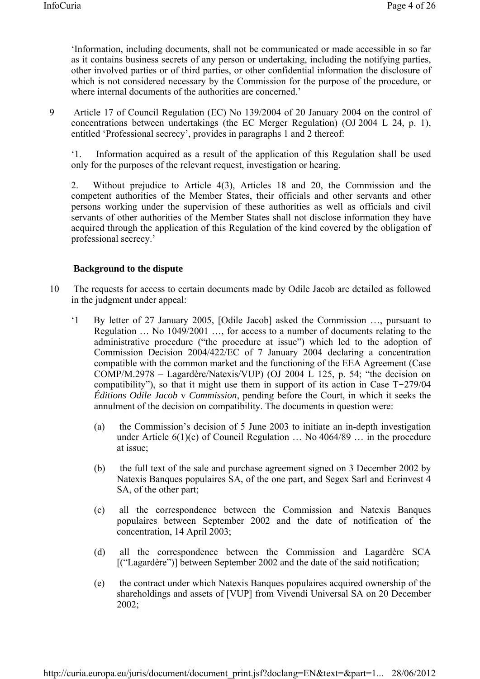'Information, including documents, shall not be communicated or made accessible in so far as it contains business secrets of any person or undertaking, including the notifying parties, other involved parties or of third parties, or other confidential information the disclosure of which is not considered necessary by the Commission for the purpose of the procedure, or where internal documents of the authorities are concerned.'

9 Article 17 of Council Regulation (EC) No 139/2004 of 20 January 2004 on the control of concentrations between undertakings (the EC Merger Regulation) (OJ 2004 L 24, p. 1), entitled 'Professional secrecy', provides in paragraphs 1 and 2 thereof:

'1. Information acquired as a result of the application of this Regulation shall be used only for the purposes of the relevant request, investigation or hearing.

2. Without prejudice to Article 4(3), Articles 18 and 20, the Commission and the competent authorities of the Member States, their officials and other servants and other persons working under the supervision of these authorities as well as officials and civil servants of other authorities of the Member States shall not disclose information they have acquired through the application of this Regulation of the kind covered by the obligation of professional secrecy.'

## **Background to the dispute**

- 10 The requests for access to certain documents made by Odile Jacob are detailed as followed in the judgment under appeal:
	- '1 By letter of 27 January 2005, [Odile Jacob] asked the Commission …, pursuant to Regulation … No 1049/2001 …, for access to a number of documents relating to the administrative procedure ("the procedure at issue") which led to the adoption of Commission Decision 2004/422/EC of 7 January 2004 declaring a concentration compatible with the common market and the functioning of the EEA Agreement (Case COMP/M.2978 – Lagardère/Natexis/VUP) (OJ 2004 L 125, p. 54; "the decision on compatibility"), so that it might use them in support of its action in Case T-279/04 *Éditions Odile Jacob* v *Commission*, pending before the Court, in which it seeks the annulment of the decision on compatibility. The documents in question were:
		- (a) the Commission's decision of 5 June 2003 to initiate an in-depth investigation under Article  $6(1)(c)$  of Council Regulation  $\ldots$  No 4064/89  $\ldots$  in the procedure at issue;
		- (b) the full text of the sale and purchase agreement signed on 3 December 2002 by Natexis Banques populaires SA, of the one part, and Segex Sarl and Ecrinvest 4 SA, of the other part;
		- (c) all the correspondence between the Commission and Natexis Banques populaires between September 2002 and the date of notification of the concentration, 14 April 2003;
		- (d) all the correspondence between the Commission and Lagardère SCA [("Lagardère")] between September 2002 and the date of the said notification;
		- (e) the contract under which Natexis Banques populaires acquired ownership of the shareholdings and assets of [VUP] from Vivendi Universal SA on 20 December 2002;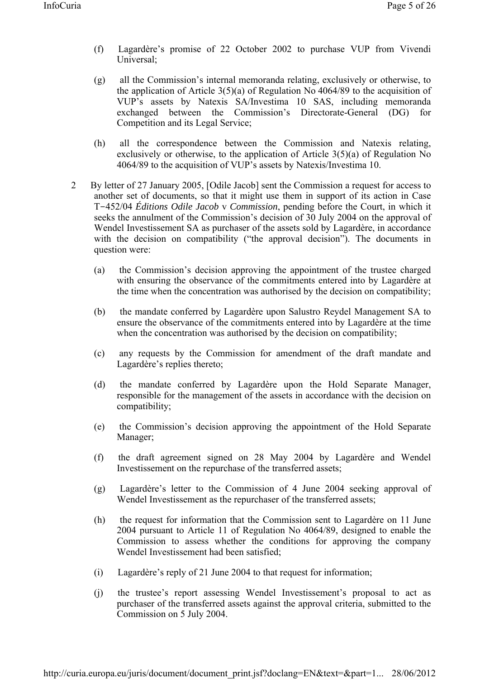- (f) Lagardère's promise of 22 October 2002 to purchase VUP from Vivendi Universal;
- (g) all the Commission's internal memoranda relating, exclusively or otherwise, to the application of Article  $3(5)(a)$  of Regulation No 4064/89 to the acquisition of VUP's assets by Natexis SA/Investima 10 SAS, including memoranda exchanged between the Commission's Directorate-General (DG) for Competition and its Legal Service;
- (h) all the correspondence between the Commission and Natexis relating, exclusively or otherwise, to the application of Article 3(5)(a) of Regulation No 4064/89 to the acquisition of VUP's assets by Natexis/Investima 10.
- 2 By letter of 27 January 2005, [Odile Jacob] sent the Commission a request for access to another set of documents, so that it might use them in support of its action in Case T-452/04 *Éditions Odile Jacob* v *Commission*, pending before the Court, in which it seeks the annulment of the Commission's decision of 30 July 2004 on the approval of Wendel Investissement SA as purchaser of the assets sold by Lagardère, in accordance with the decision on compatibility ("the approval decision"). The documents in question were:
	- (a) the Commission's decision approving the appointment of the trustee charged with ensuring the observance of the commitments entered into by Lagardère at the time when the concentration was authorised by the decision on compatibility;
	- (b) the mandate conferred by Lagardère upon Salustro Reydel Management SA to ensure the observance of the commitments entered into by Lagardère at the time when the concentration was authorised by the decision on compatibility;
	- (c) any requests by the Commission for amendment of the draft mandate and Lagardère's replies thereto;
	- (d) the mandate conferred by Lagardère upon the Hold Separate Manager, responsible for the management of the assets in accordance with the decision on compatibility;
	- (e) the Commission's decision approving the appointment of the Hold Separate Manager;
	- (f) the draft agreement signed on 28 May 2004 by Lagardère and Wendel Investissement on the repurchase of the transferred assets;
	- (g) Lagardère's letter to the Commission of 4 June 2004 seeking approval of Wendel Investissement as the repurchaser of the transferred assets;
	- (h) the request for information that the Commission sent to Lagardère on 11 June 2004 pursuant to Article 11 of Regulation No 4064/89, designed to enable the Commission to assess whether the conditions for approving the company Wendel Investissement had been satisfied;
	- (i) Lagardère's reply of 21 June 2004 to that request for information;
	- (j) the trustee's report assessing Wendel Investissement's proposal to act as purchaser of the transferred assets against the approval criteria, submitted to the Commission on 5 July 2004.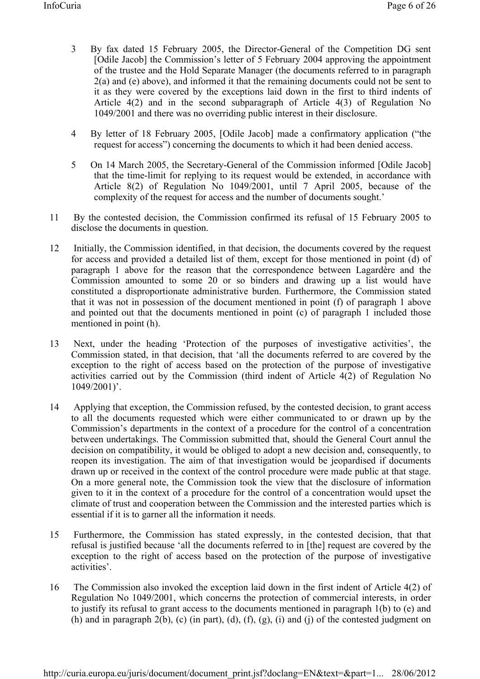- 3 By fax dated 15 February 2005, the Director-General of the Competition DG sent [Odile Jacob] the Commission's letter of 5 February 2004 approving the appointment of the trustee and the Hold Separate Manager (the documents referred to in paragraph 2(a) and (e) above), and informed it that the remaining documents could not be sent to it as they were covered by the exceptions laid down in the first to third indents of Article 4(2) and in the second subparagraph of Article 4(3) of Regulation No 1049/2001 and there was no overriding public interest in their disclosure.
- 4 By letter of 18 February 2005, [Odile Jacob] made a confirmatory application ("the request for access") concerning the documents to which it had been denied access.
- 5 On 14 March 2005, the Secretary-General of the Commission informed [Odile Jacob] that the time-limit for replying to its request would be extended, in accordance with Article 8(2) of Regulation No 1049/2001, until 7 April 2005, because of the complexity of the request for access and the number of documents sought.'
- 11 By the contested decision, the Commission confirmed its refusal of 15 February 2005 to disclose the documents in question.
- 12 Initially, the Commission identified, in that decision, the documents covered by the request for access and provided a detailed list of them, except for those mentioned in point (d) of paragraph 1 above for the reason that the correspondence between Lagardère and the Commission amounted to some 20 or so binders and drawing up a list would have constituted a disproportionate administrative burden. Furthermore, the Commission stated that it was not in possession of the document mentioned in point (f) of paragraph 1 above and pointed out that the documents mentioned in point (c) of paragraph 1 included those mentioned in point (h).
- 13 Next, under the heading 'Protection of the purposes of investigative activities', the Commission stated, in that decision, that 'all the documents referred to are covered by the exception to the right of access based on the protection of the purpose of investigative activities carried out by the Commission (third indent of Article 4(2) of Regulation No 1049/2001)'.
- 14 Applying that exception, the Commission refused, by the contested decision, to grant access to all the documents requested which were either communicated to or drawn up by the Commission's departments in the context of a procedure for the control of a concentration between undertakings. The Commission submitted that, should the General Court annul the decision on compatibility, it would be obliged to adopt a new decision and, consequently, to reopen its investigation. The aim of that investigation would be jeopardised if documents drawn up or received in the context of the control procedure were made public at that stage. On a more general note, the Commission took the view that the disclosure of information given to it in the context of a procedure for the control of a concentration would upset the climate of trust and cooperation between the Commission and the interested parties which is essential if it is to garner all the information it needs.
- 15 Furthermore, the Commission has stated expressly, in the contested decision, that that refusal is justified because 'all the documents referred to in [the] request are covered by the exception to the right of access based on the protection of the purpose of investigative activities'.
- 16 The Commission also invoked the exception laid down in the first indent of Article 4(2) of Regulation No 1049/2001, which concerns the protection of commercial interests, in order to justify its refusal to grant access to the documents mentioned in paragraph 1(b) to (e) and (h) and in paragraph 2(b), (c) (in part), (d), (f), (g), (i) and (j) of the contested judgment on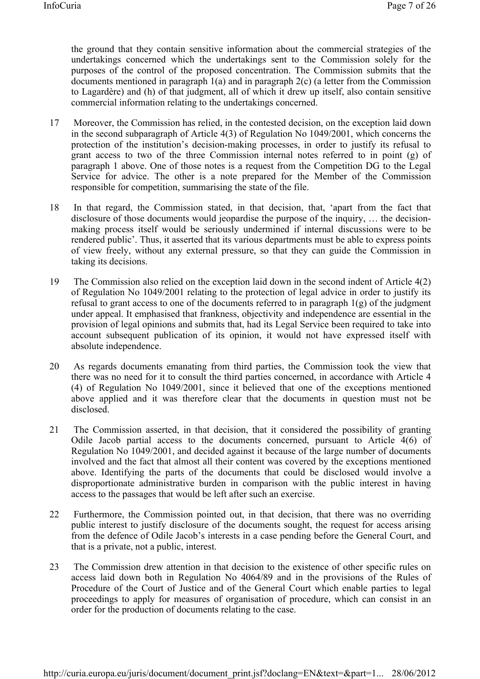the ground that they contain sensitive information about the commercial strategies of the undertakings concerned which the undertakings sent to the Commission solely for the purposes of the control of the proposed concentration. The Commission submits that the documents mentioned in paragraph 1(a) and in paragraph 2(c) (a letter from the Commission to Lagardère) and (h) of that judgment, all of which it drew up itself, also contain sensitive commercial information relating to the undertakings concerned.

- 17 Moreover, the Commission has relied, in the contested decision, on the exception laid down in the second subparagraph of Article 4(3) of Regulation No 1049/2001, which concerns the protection of the institution's decision-making processes, in order to justify its refusal to grant access to two of the three Commission internal notes referred to in point (g) of paragraph 1 above. One of those notes is a request from the Competition DG to the Legal Service for advice. The other is a note prepared for the Member of the Commission responsible for competition, summarising the state of the file.
- 18 In that regard, the Commission stated, in that decision, that, 'apart from the fact that disclosure of those documents would jeopardise the purpose of the inquiry, … the decisionmaking process itself would be seriously undermined if internal discussions were to be rendered public'. Thus, it asserted that its various departments must be able to express points of view freely, without any external pressure, so that they can guide the Commission in taking its decisions.
- 19 The Commission also relied on the exception laid down in the second indent of Article 4(2) of Regulation No 1049/2001 relating to the protection of legal advice in order to justify its refusal to grant access to one of the documents referred to in paragraph  $1(g)$  of the judgment under appeal. It emphasised that frankness, objectivity and independence are essential in the provision of legal opinions and submits that, had its Legal Service been required to take into account subsequent publication of its opinion, it would not have expressed itself with absolute independence.
- 20 As regards documents emanating from third parties, the Commission took the view that there was no need for it to consult the third parties concerned, in accordance with Article 4 (4) of Regulation No 1049/2001, since it believed that one of the exceptions mentioned above applied and it was therefore clear that the documents in question must not be disclosed.
- 21 The Commission asserted, in that decision, that it considered the possibility of granting Odile Jacob partial access to the documents concerned, pursuant to Article 4(6) of Regulation No 1049/2001, and decided against it because of the large number of documents involved and the fact that almost all their content was covered by the exceptions mentioned above. Identifying the parts of the documents that could be disclosed would involve a disproportionate administrative burden in comparison with the public interest in having access to the passages that would be left after such an exercise.
- 22 Furthermore, the Commission pointed out, in that decision, that there was no overriding public interest to justify disclosure of the documents sought, the request for access arising from the defence of Odile Jacob's interests in a case pending before the General Court, and that is a private, not a public, interest.
- 23 The Commission drew attention in that decision to the existence of other specific rules on access laid down both in Regulation No 4064/89 and in the provisions of the Rules of Procedure of the Court of Justice and of the General Court which enable parties to legal proceedings to apply for measures of organisation of procedure, which can consist in an order for the production of documents relating to the case.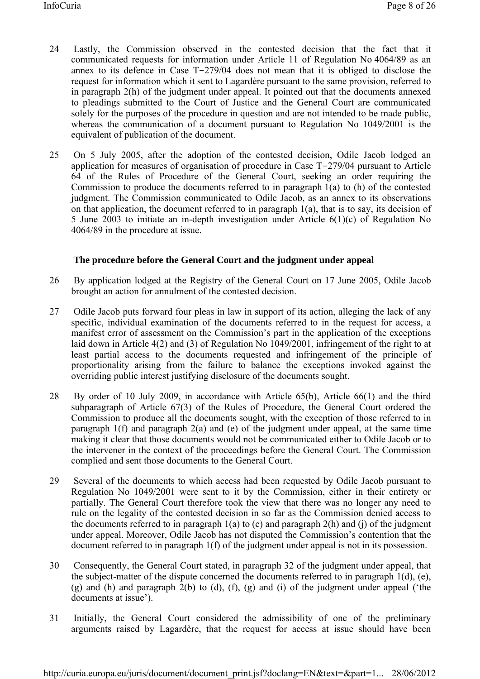- 24 Lastly, the Commission observed in the contested decision that the fact that it communicated requests for information under Article 11 of Regulation No 4064/89 as an annex to its defence in Case T-279/04 does not mean that it is obliged to disclose the request for information which it sent to Lagardère pursuant to the same provision, referred to in paragraph 2(h) of the judgment under appeal. It pointed out that the documents annexed to pleadings submitted to the Court of Justice and the General Court are communicated solely for the purposes of the procedure in question and are not intended to be made public, whereas the communication of a document pursuant to Regulation No 1049/2001 is the equivalent of publication of the document.
- 25 On 5 July 2005, after the adoption of the contested decision, Odile Jacob lodged an application for measures of organisation of procedure in Case T-279/04 pursuant to Article 64 of the Rules of Procedure of the General Court, seeking an order requiring the Commission to produce the documents referred to in paragraph 1(a) to (h) of the contested judgment. The Commission communicated to Odile Jacob, as an annex to its observations on that application, the document referred to in paragraph 1(a), that is to say, its decision of 5 June 2003 to initiate an in-depth investigation under Article 6(1)(c) of Regulation No 4064/89 in the procedure at issue.

### **The procedure before the General Court and the judgment under appeal**

- 26 By application lodged at the Registry of the General Court on 17 June 2005, Odile Jacob brought an action for annulment of the contested decision.
- 27 Odile Jacob puts forward four pleas in law in support of its action, alleging the lack of any specific, individual examination of the documents referred to in the request for access, a manifest error of assessment on the Commission's part in the application of the exceptions laid down in Article 4(2) and (3) of Regulation No 1049/2001, infringement of the right to at least partial access to the documents requested and infringement of the principle of proportionality arising from the failure to balance the exceptions invoked against the overriding public interest justifying disclosure of the documents sought.
- 28 By order of 10 July 2009, in accordance with Article 65(b), Article 66(1) and the third subparagraph of Article 67(3) of the Rules of Procedure, the General Court ordered the Commission to produce all the documents sought, with the exception of those referred to in paragraph 1(f) and paragraph 2(a) and (e) of the judgment under appeal, at the same time making it clear that those documents would not be communicated either to Odile Jacob or to the intervener in the context of the proceedings before the General Court. The Commission complied and sent those documents to the General Court.
- 29 Several of the documents to which access had been requested by Odile Jacob pursuant to Regulation No 1049/2001 were sent to it by the Commission, either in their entirety or partially. The General Court therefore took the view that there was no longer any need to rule on the legality of the contested decision in so far as the Commission denied access to the documents referred to in paragraph  $1(a)$  to (c) and paragraph  $2(h)$  and (j) of the judgment under appeal. Moreover, Odile Jacob has not disputed the Commission's contention that the document referred to in paragraph 1(f) of the judgment under appeal is not in its possession.
- 30 Consequently, the General Court stated, in paragraph 32 of the judgment under appeal, that the subject-matter of the dispute concerned the documents referred to in paragraph 1(d), (e), (g) and (h) and paragraph  $2(b)$  to (d), (f), (g) and (i) of the judgment under appeal ('the documents at issue').
- 31 Initially, the General Court considered the admissibility of one of the preliminary arguments raised by Lagardère, that the request for access at issue should have been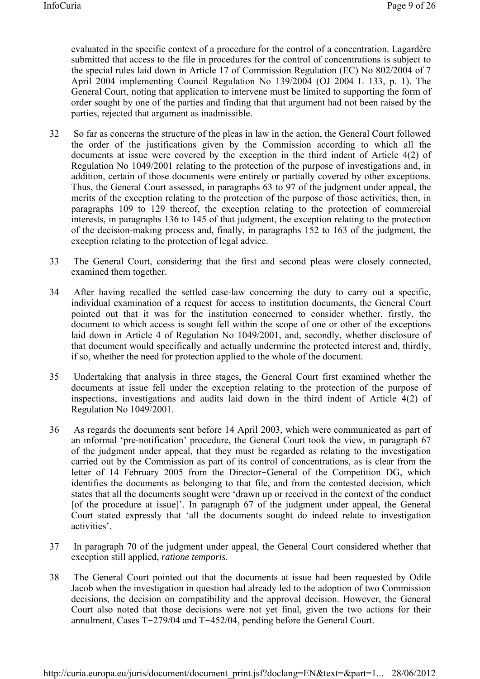evaluated in the specific context of a procedure for the control of a concentration. Lagardère submitted that access to the file in procedures for the control of concentrations is subject to the special rules laid down in Article 17 of Commission Regulation (EC) No 802/2004 of 7 April 2004 implementing Council Regulation No 139/2004 (OJ 2004 L 133, p. 1). The General Court, noting that application to intervene must be limited to supporting the form of order sought by one of the parties and finding that that argument had not been raised by the parties, rejected that argument as inadmissible.

- 32 So far as concerns the structure of the pleas in law in the action, the General Court followed the order of the justifications given by the Commission according to which all the documents at issue were covered by the exception in the third indent of Article 4(2) of Regulation No 1049/2001 relating to the protection of the purpose of investigations and, in addition, certain of those documents were entirely or partially covered by other exceptions. Thus, the General Court assessed, in paragraphs 63 to 97 of the judgment under appeal, the merits of the exception relating to the protection of the purpose of those activities, then, in paragraphs 109 to 129 thereof, the exception relating to the protection of commercial interests, in paragraphs 136 to 145 of that judgment, the exception relating to the protection of the decision-making process and, finally, in paragraphs 152 to 163 of the judgment, the exception relating to the protection of legal advice.
- 33 The General Court, considering that the first and second pleas were closely connected, examined them together.
- 34 After having recalled the settled case-law concerning the duty to carry out a specific, individual examination of a request for access to institution documents, the General Court pointed out that it was for the institution concerned to consider whether, firstly, the document to which access is sought fell within the scope of one or other of the exceptions laid down in Article 4 of Regulation No 1049/2001, and, secondly, whether disclosure of that document would specifically and actually undermine the protected interest and, thirdly, if so, whether the need for protection applied to the whole of the document.
- 35 Undertaking that analysis in three stages, the General Court first examined whether the documents at issue fell under the exception relating to the protection of the purpose of inspections, investigations and audits laid down in the third indent of Article 4(2) of Regulation No 1049/2001.
- 36 As regards the documents sent before 14 April 2003, which were communicated as part of an informal 'pre-notification' procedure, the General Court took the view, in paragraph 67 of the judgment under appeal, that they must be regarded as relating to the investigation carried out by the Commission as part of its control of concentrations, as is clear from the letter of 14 February 2005 from the Director-General of the Competition DG, which identifies the documents as belonging to that file, and from the contested decision, which states that all the documents sought were 'drawn up or received in the context of the conduct [of the procedure at issue]'. In paragraph 67 of the judgment under appeal, the General Court stated expressly that 'all the documents sought do indeed relate to investigation activities'.
- 37 In paragraph 70 of the judgment under appeal, the General Court considered whether that exception still applied, *ratione temporis*.
- 38 The General Court pointed out that the documents at issue had been requested by Odile Jacob when the investigation in question had already led to the adoption of two Commission decisions, the decision on compatibility and the approval decision. However, the General Court also noted that those decisions were not yet final, given the two actions for their annulment, Cases T-279/04 and T-452/04, pending before the General Court.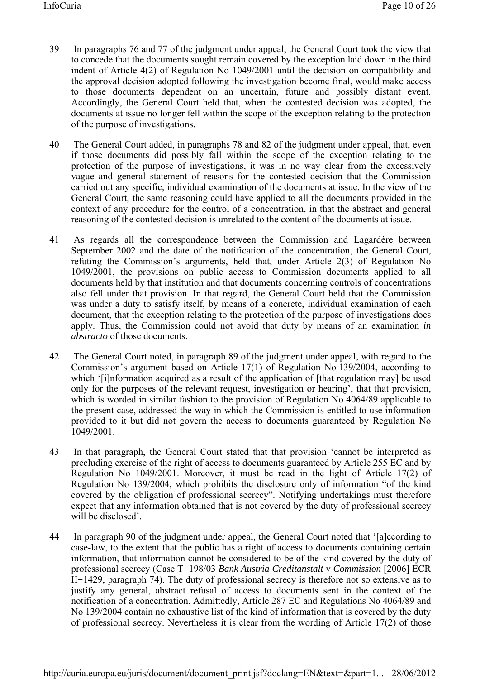- 39 In paragraphs 76 and 77 of the judgment under appeal, the General Court took the view that to concede that the documents sought remain covered by the exception laid down in the third indent of Article 4(2) of Regulation No 1049/2001 until the decision on compatibility and the approval decision adopted following the investigation become final, would make access to those documents dependent on an uncertain, future and possibly distant event. Accordingly, the General Court held that, when the contested decision was adopted, the documents at issue no longer fell within the scope of the exception relating to the protection of the purpose of investigations.
- 40 The General Court added, in paragraphs 78 and 82 of the judgment under appeal, that, even if those documents did possibly fall within the scope of the exception relating to the protection of the purpose of investigations, it was in no way clear from the excessively vague and general statement of reasons for the contested decision that the Commission carried out any specific, individual examination of the documents at issue. In the view of the General Court, the same reasoning could have applied to all the documents provided in the context of any procedure for the control of a concentration, in that the abstract and general reasoning of the contested decision is unrelated to the content of the documents at issue.
- 41 As regards all the correspondence between the Commission and Lagardère between September 2002 and the date of the notification of the concentration, the General Court, refuting the Commission's arguments, held that, under Article 2(3) of Regulation No 1049/2001, the provisions on public access to Commission documents applied to all documents held by that institution and that documents concerning controls of concentrations also fell under that provision. In that regard, the General Court held that the Commission was under a duty to satisfy itself, by means of a concrete, individual examination of each document, that the exception relating to the protection of the purpose of investigations does apply. Thus, the Commission could not avoid that duty by means of an examination *in abstracto* of those documents.
- 42 The General Court noted, in paragraph 89 of the judgment under appeal, with regard to the Commission's argument based on Article 17(1) of Regulation No 139/2004, according to which '[i]nformation acquired as a result of the application of [that regulation may] be used only for the purposes of the relevant request, investigation or hearing', that that provision, which is worded in similar fashion to the provision of Regulation No 4064/89 applicable to the present case, addressed the way in which the Commission is entitled to use information provided to it but did not govern the access to documents guaranteed by Regulation No 1049/2001.
- 43 In that paragraph, the General Court stated that that provision 'cannot be interpreted as precluding exercise of the right of access to documents guaranteed by Article 255 EC and by Regulation No 1049/2001. Moreover, it must be read in the light of Article 17(2) of Regulation No 139/2004, which prohibits the disclosure only of information "of the kind covered by the obligation of professional secrecy". Notifying undertakings must therefore expect that any information obtained that is not covered by the duty of professional secrecy will be disclosed'.
- 44 In paragraph 90 of the judgment under appeal, the General Court noted that '[a]ccording to case-law, to the extent that the public has a right of access to documents containing certain information, that information cannot be considered to be of the kind covered by the duty of professional secrecy (Case T-198/03 *Bank Austria Creditanstalt* v *Commission* [2006] ECR II-1429, paragraph 74). The duty of professional secrecy is therefore not so extensive as to justify any general, abstract refusal of access to documents sent in the context of the notification of a concentration. Admittedly, Article 287 EC and Regulations No 4064/89 and No 139/2004 contain no exhaustive list of the kind of information that is covered by the duty of professional secrecy. Nevertheless it is clear from the wording of Article 17(2) of those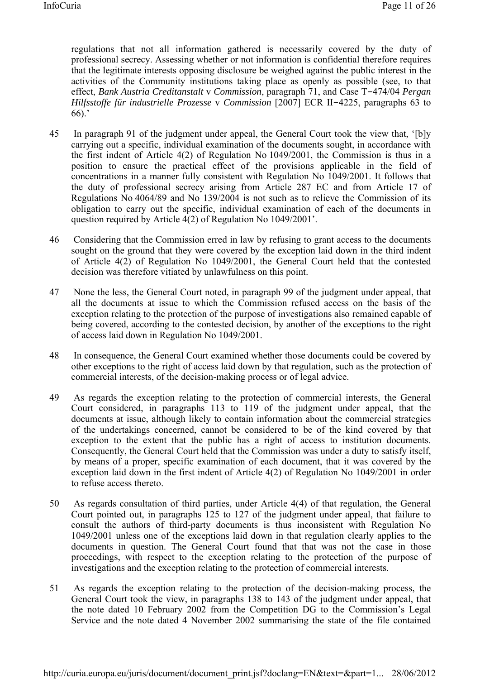regulations that not all information gathered is necessarily covered by the duty of professional secrecy. Assessing whether or not information is confidential therefore requires that the legitimate interests opposing disclosure be weighed against the public interest in the activities of the Community institutions taking place as openly as possible (see, to that effect, *Bank Austria Creditanstalt* v *Commission*, paragraph 71, and Case T-474/04 *Pergan Hilfsstoffe für industrielle Prozesse* v *Commission* [2007] ECR II-4225, paragraphs 63 to 66).'

- 45 In paragraph 91 of the judgment under appeal, the General Court took the view that, '[b]y carrying out a specific, individual examination of the documents sought, in accordance with the first indent of Article 4(2) of Regulation No 1049/2001, the Commission is thus in a position to ensure the practical effect of the provisions applicable in the field of concentrations in a manner fully consistent with Regulation No 1049/2001. It follows that the duty of professional secrecy arising from Article 287 EC and from Article 17 of Regulations No 4064/89 and No 139/2004 is not such as to relieve the Commission of its obligation to carry out the specific, individual examination of each of the documents in question required by Article 4(2) of Regulation No 1049/2001'.
- 46 Considering that the Commission erred in law by refusing to grant access to the documents sought on the ground that they were covered by the exception laid down in the third indent of Article 4(2) of Regulation No 1049/2001, the General Court held that the contested decision was therefore vitiated by unlawfulness on this point.
- 47 None the less, the General Court noted, in paragraph 99 of the judgment under appeal, that all the documents at issue to which the Commission refused access on the basis of the exception relating to the protection of the purpose of investigations also remained capable of being covered, according to the contested decision, by another of the exceptions to the right of access laid down in Regulation No 1049/2001.
- 48 In consequence, the General Court examined whether those documents could be covered by other exceptions to the right of access laid down by that regulation, such as the protection of commercial interests, of the decision-making process or of legal advice.
- 49 As regards the exception relating to the protection of commercial interests, the General Court considered, in paragraphs 113 to 119 of the judgment under appeal, that the documents at issue, although likely to contain information about the commercial strategies of the undertakings concerned, cannot be considered to be of the kind covered by that exception to the extent that the public has a right of access to institution documents. Consequently, the General Court held that the Commission was under a duty to satisfy itself, by means of a proper, specific examination of each document, that it was covered by the exception laid down in the first indent of Article 4(2) of Regulation No 1049/2001 in order to refuse access thereto.
- 50 As regards consultation of third parties, under Article 4(4) of that regulation, the General Court pointed out, in paragraphs 125 to 127 of the judgment under appeal, that failure to consult the authors of third-party documents is thus inconsistent with Regulation No 1049/2001 unless one of the exceptions laid down in that regulation clearly applies to the documents in question. The General Court found that that was not the case in those proceedings, with respect to the exception relating to the protection of the purpose of investigations and the exception relating to the protection of commercial interests.
- 51 As regards the exception relating to the protection of the decision-making process, the General Court took the view, in paragraphs 138 to 143 of the judgment under appeal, that the note dated 10 February 2002 from the Competition DG to the Commission's Legal Service and the note dated 4 November 2002 summarising the state of the file contained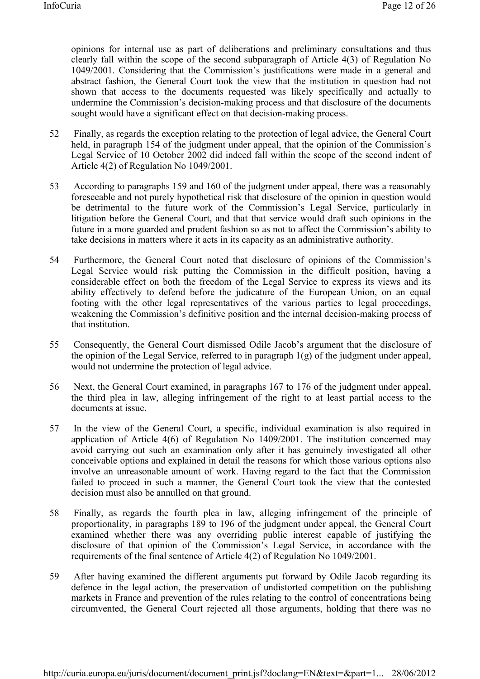opinions for internal use as part of deliberations and preliminary consultations and thus clearly fall within the scope of the second subparagraph of Article 4(3) of Regulation No 1049/2001. Considering that the Commission's justifications were made in a general and abstract fashion, the General Court took the view that the institution in question had not shown that access to the documents requested was likely specifically and actually to undermine the Commission's decision-making process and that disclosure of the documents sought would have a significant effect on that decision-making process.

- 52 Finally, as regards the exception relating to the protection of legal advice, the General Court held, in paragraph 154 of the judgment under appeal, that the opinion of the Commission's Legal Service of 10 October 2002 did indeed fall within the scope of the second indent of Article 4(2) of Regulation No 1049/2001.
- 53 According to paragraphs 159 and 160 of the judgment under appeal, there was a reasonably foreseeable and not purely hypothetical risk that disclosure of the opinion in question would be detrimental to the future work of the Commission's Legal Service, particularly in litigation before the General Court, and that that service would draft such opinions in the future in a more guarded and prudent fashion so as not to affect the Commission's ability to take decisions in matters where it acts in its capacity as an administrative authority.
- 54 Furthermore, the General Court noted that disclosure of opinions of the Commission's Legal Service would risk putting the Commission in the difficult position, having a considerable effect on both the freedom of the Legal Service to express its views and its ability effectively to defend before the judicature of the European Union, on an equal footing with the other legal representatives of the various parties to legal proceedings, weakening the Commission's definitive position and the internal decision-making process of that institution.
- 55 Consequently, the General Court dismissed Odile Jacob's argument that the disclosure of the opinion of the Legal Service, referred to in paragraph 1(g) of the judgment under appeal, would not undermine the protection of legal advice.
- 56 Next, the General Court examined, in paragraphs 167 to 176 of the judgment under appeal, the third plea in law, alleging infringement of the right to at least partial access to the documents at issue.
- 57 In the view of the General Court, a specific, individual examination is also required in application of Article 4(6) of Regulation No 1409/2001. The institution concerned may avoid carrying out such an examination only after it has genuinely investigated all other conceivable options and explained in detail the reasons for which those various options also involve an unreasonable amount of work. Having regard to the fact that the Commission failed to proceed in such a manner, the General Court took the view that the contested decision must also be annulled on that ground.
- 58 Finally, as regards the fourth plea in law, alleging infringement of the principle of proportionality, in paragraphs 189 to 196 of the judgment under appeal, the General Court examined whether there was any overriding public interest capable of justifying the disclosure of that opinion of the Commission's Legal Service, in accordance with the requirements of the final sentence of Article 4(2) of Regulation No 1049/2001.
- 59 After having examined the different arguments put forward by Odile Jacob regarding its defence in the legal action, the preservation of undistorted competition on the publishing markets in France and prevention of the rules relating to the control of concentrations being circumvented, the General Court rejected all those arguments, holding that there was no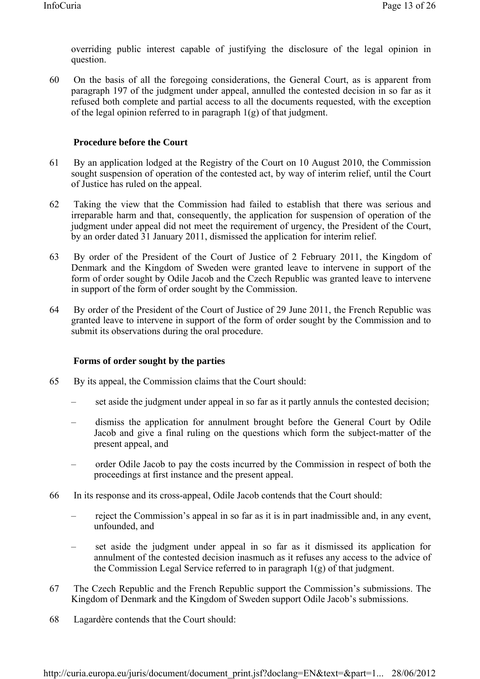overriding public interest capable of justifying the disclosure of the legal opinion in question.

60 On the basis of all the foregoing considerations, the General Court, as is apparent from paragraph 197 of the judgment under appeal, annulled the contested decision in so far as it refused both complete and partial access to all the documents requested, with the exception of the legal opinion referred to in paragraph  $1(g)$  of that judgment.

## **Procedure before the Court**

- 61 By an application lodged at the Registry of the Court on 10 August 2010, the Commission sought suspension of operation of the contested act, by way of interim relief, until the Court of Justice has ruled on the appeal.
- 62 Taking the view that the Commission had failed to establish that there was serious and irreparable harm and that, consequently, the application for suspension of operation of the judgment under appeal did not meet the requirement of urgency, the President of the Court, by an order dated 31 January 2011, dismissed the application for interim relief.
- 63 By order of the President of the Court of Justice of 2 February 2011, the Kingdom of Denmark and the Kingdom of Sweden were granted leave to intervene in support of the form of order sought by Odile Jacob and the Czech Republic was granted leave to intervene in support of the form of order sought by the Commission.
- 64 By order of the President of the Court of Justice of 29 June 2011, the French Republic was granted leave to intervene in support of the form of order sought by the Commission and to submit its observations during the oral procedure.

# **Forms of order sought by the parties**

- 65 By its appeal, the Commission claims that the Court should:
	- set aside the judgment under appeal in so far as it partly annuls the contested decision;
	- dismiss the application for annulment brought before the General Court by Odile Jacob and give a final ruling on the questions which form the subject-matter of the present appeal, and
	- order Odile Jacob to pay the costs incurred by the Commission in respect of both the proceedings at first instance and the present appeal.
- 66 In its response and its cross-appeal, Odile Jacob contends that the Court should:
	- reject the Commission's appeal in so far as it is in part inadmissible and, in any event, unfounded, and
	- set aside the judgment under appeal in so far as it dismissed its application for annulment of the contested decision inasmuch as it refuses any access to the advice of the Commission Legal Service referred to in paragraph 1(g) of that judgment.
- 67 The Czech Republic and the French Republic support the Commission's submissions. The Kingdom of Denmark and the Kingdom of Sweden support Odile Jacob's submissions.
- 68 Lagardère contends that the Court should: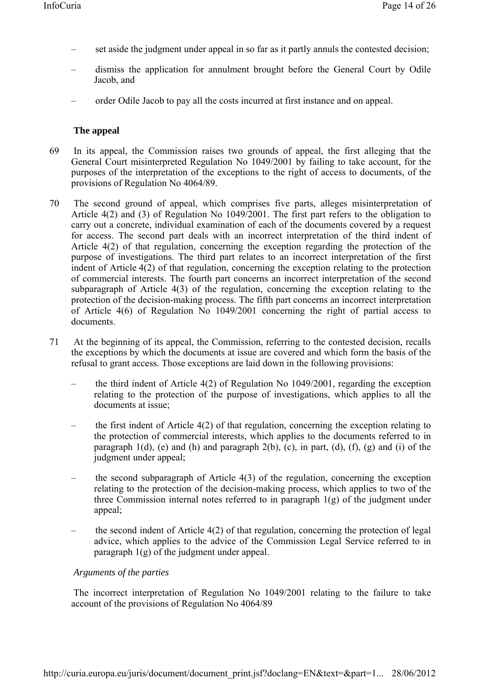- set aside the judgment under appeal in so far as it partly annuls the contested decision;
- dismiss the application for annulment brought before the General Court by Odile Jacob, and
- order Odile Jacob to pay all the costs incurred at first instance and on appeal.

### **The appeal**

- 69 In its appeal, the Commission raises two grounds of appeal, the first alleging that the General Court misinterpreted Regulation No 1049/2001 by failing to take account, for the purposes of the interpretation of the exceptions to the right of access to documents, of the provisions of Regulation No 4064/89.
- 70 The second ground of appeal, which comprises five parts, alleges misinterpretation of Article 4(2) and (3) of Regulation No 1049/2001. The first part refers to the obligation to carry out a concrete, individual examination of each of the documents covered by a request for access. The second part deals with an incorrect interpretation of the third indent of Article 4(2) of that regulation, concerning the exception regarding the protection of the purpose of investigations. The third part relates to an incorrect interpretation of the first indent of Article 4(2) of that regulation, concerning the exception relating to the protection of commercial interests. The fourth part concerns an incorrect interpretation of the second subparagraph of Article 4(3) of the regulation, concerning the exception relating to the protection of the decision-making process. The fifth part concerns an incorrect interpretation of Article 4(6) of Regulation No 1049/2001 concerning the right of partial access to documents.
- 71 At the beginning of its appeal, the Commission, referring to the contested decision, recalls the exceptions by which the documents at issue are covered and which form the basis of the refusal to grant access. Those exceptions are laid down in the following provisions:
	- the third indent of Article 4(2) of Regulation No 1049/2001, regarding the exception relating to the protection of the purpose of investigations, which applies to all the documents at issue;
	- the first indent of Article 4(2) of that regulation, concerning the exception relating to the protection of commercial interests, which applies to the documents referred to in paragraph  $1(d)$ , (e) and (h) and paragraph  $2(b)$ , (c), in part, (d), (f), (g) and (i) of the judgment under appeal;
	- the second subparagraph of Article  $4(3)$  of the regulation, concerning the exception relating to the protection of the decision-making process, which applies to two of the three Commission internal notes referred to in paragraph 1(g) of the judgment under appeal;
	- the second indent of Article 4(2) of that regulation, concerning the protection of legal advice, which applies to the advice of the Commission Legal Service referred to in paragraph  $1(g)$  of the judgment under appeal.

### *Arguments of the parties*

 The incorrect interpretation of Regulation No 1049/2001 relating to the failure to take account of the provisions of Regulation No 4064/89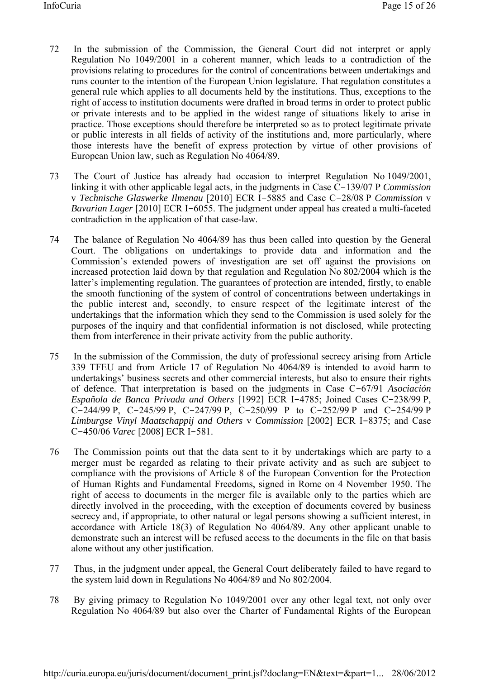- 72 In the submission of the Commission, the General Court did not interpret or apply Regulation No 1049/2001 in a coherent manner, which leads to a contradiction of the provisions relating to procedures for the control of concentrations between undertakings and runs counter to the intention of the European Union legislature. That regulation constitutes a general rule which applies to all documents held by the institutions. Thus, exceptions to the right of access to institution documents were drafted in broad terms in order to protect public or private interests and to be applied in the widest range of situations likely to arise in practice. Those exceptions should therefore be interpreted so as to protect legitimate private or public interests in all fields of activity of the institutions and, more particularly, where those interests have the benefit of express protection by virtue of other provisions of European Union law, such as Regulation No 4064/89.
- 73 The Court of Justice has already had occasion to interpret Regulation No 1049/2001, linking it with other applicable legal acts, in the judgments in Case C-139/07 P *Commission* v *Technische Glaswerke Ilmenau* [2010] ECR I-5885 and Case C-28/08 P *Commission* v *Bavarian Lager* [2010] ECR I-6055. The judgment under appeal has created a multi-faceted contradiction in the application of that case-law.
- 74 The balance of Regulation No 4064/89 has thus been called into question by the General Court. The obligations on undertakings to provide data and information and the Commission's extended powers of investigation are set off against the provisions on increased protection laid down by that regulation and Regulation No 802/2004 which is the latter's implementing regulation. The guarantees of protection are intended, firstly, to enable the smooth functioning of the system of control of concentrations between undertakings in the public interest and, secondly, to ensure respect of the legitimate interest of the undertakings that the information which they send to the Commission is used solely for the purposes of the inquiry and that confidential information is not disclosed, while protecting them from interference in their private activity from the public authority.
- 75 In the submission of the Commission, the duty of professional secrecy arising from Article 339 TFEU and from Article 17 of Regulation No 4064/89 is intended to avoid harm to undertakings' business secrets and other commercial interests, but also to ensure their rights of defence. That interpretation is based on the judgments in Case C-67/91 *Asociación Española de Banca Privada and Others* [1992] ECR I-4785; Joined Cases C-238/99 P, C-244/99 P, C-245/99 P, C-247/99 P, C-250/99 P to C-252/99 P and C-254/99 P *Limburgse Vinyl Maatschappij and Others* v *Commission* [2002] ECR I-8375; and Case C-450/06 *Varec* [2008] ECR I-581.
- 76 The Commission points out that the data sent to it by undertakings which are party to a merger must be regarded as relating to their private activity and as such are subject to compliance with the provisions of Article 8 of the European Convention for the Protection of Human Rights and Fundamental Freedoms, signed in Rome on 4 November 1950. The right of access to documents in the merger file is available only to the parties which are directly involved in the proceeding, with the exception of documents covered by business secrecy and, if appropriate, to other natural or legal persons showing a sufficient interest, in accordance with Article 18(3) of Regulation No 4064/89. Any other applicant unable to demonstrate such an interest will be refused access to the documents in the file on that basis alone without any other justification.
- 77 Thus, in the judgment under appeal, the General Court deliberately failed to have regard to the system laid down in Regulations No 4064/89 and No 802/2004.
- 78 By giving primacy to Regulation No 1049/2001 over any other legal text, not only over Regulation No 4064/89 but also over the Charter of Fundamental Rights of the European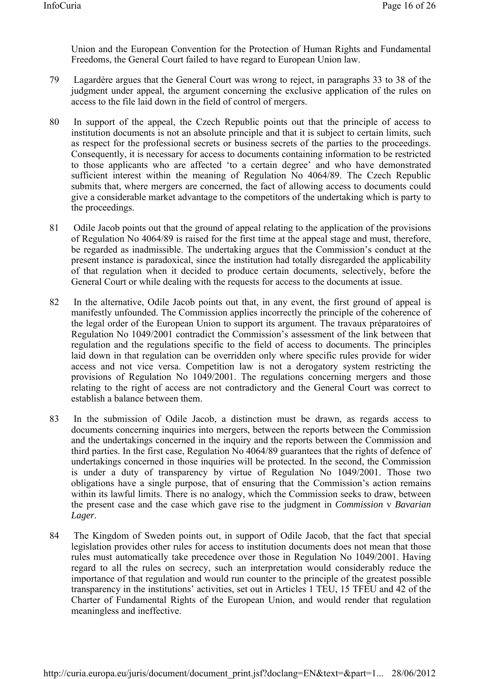Union and the European Convention for the Protection of Human Rights and Fundamental Freedoms, the General Court failed to have regard to European Union law.

- 79 Lagardère argues that the General Court was wrong to reject, in paragraphs 33 to 38 of the judgment under appeal, the argument concerning the exclusive application of the rules on access to the file laid down in the field of control of mergers.
- 80 In support of the appeal, the Czech Republic points out that the principle of access to institution documents is not an absolute principle and that it is subject to certain limits, such as respect for the professional secrets or business secrets of the parties to the proceedings. Consequently, it is necessary for access to documents containing information to be restricted to those applicants who are affected 'to a certain degree' and who have demonstrated sufficient interest within the meaning of Regulation No 4064/89. The Czech Republic submits that, where mergers are concerned, the fact of allowing access to documents could give a considerable market advantage to the competitors of the undertaking which is party to the proceedings.
- 81 Odile Jacob points out that the ground of appeal relating to the application of the provisions of Regulation No 4064/89 is raised for the first time at the appeal stage and must, therefore, be regarded as inadmissible. The undertaking argues that the Commission's conduct at the present instance is paradoxical, since the institution had totally disregarded the applicability of that regulation when it decided to produce certain documents, selectively, before the General Court or while dealing with the requests for access to the documents at issue.
- 82 In the alternative, Odile Jacob points out that, in any event, the first ground of appeal is manifestly unfounded. The Commission applies incorrectly the principle of the coherence of the legal order of the European Union to support its argument. The travaux préparatoires of Regulation No 1049/2001 contradict the Commission's assessment of the link between that regulation and the regulations specific to the field of access to documents. The principles laid down in that regulation can be overridden only where specific rules provide for wider access and not vice versa. Competition law is not a derogatory system restricting the provisions of Regulation No 1049/2001. The regulations concerning mergers and those relating to the right of access are not contradictory and the General Court was correct to establish a balance between them.
- 83 In the submission of Odile Jacob, a distinction must be drawn, as regards access to documents concerning inquiries into mergers, between the reports between the Commission and the undertakings concerned in the inquiry and the reports between the Commission and third parties. In the first case, Regulation No 4064/89 guarantees that the rights of defence of undertakings concerned in those inquiries will be protected. In the second, the Commission is under a duty of transparency by virtue of Regulation No 1049/2001. Those two obligations have a single purpose, that of ensuring that the Commission's action remains within its lawful limits. There is no analogy, which the Commission seeks to draw, between the present case and the case which gave rise to the judgment in *Commission* v *Bavarian Lager*.
- 84 The Kingdom of Sweden points out, in support of Odile Jacob, that the fact that special legislation provides other rules for access to institution documents does not mean that those rules must automatically take precedence over those in Regulation No 1049/2001. Having regard to all the rules on secrecy, such an interpretation would considerably reduce the importance of that regulation and would run counter to the principle of the greatest possible transparency in the institutions' activities, set out in Articles 1 TEU, 15 TFEU and 42 of the Charter of Fundamental Rights of the European Union, and would render that regulation meaningless and ineffective.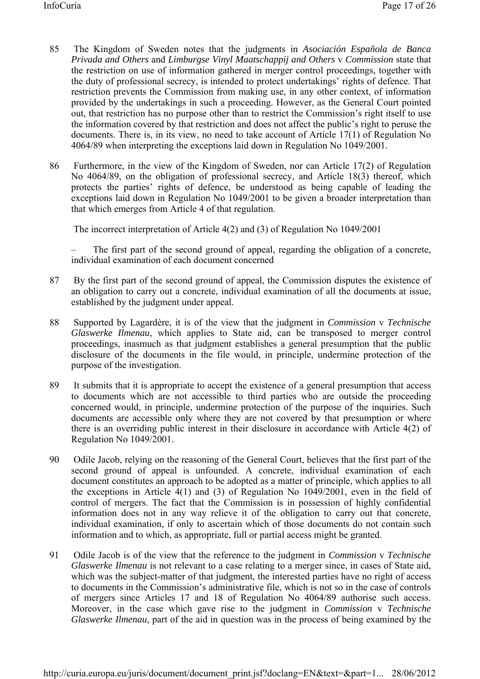- 85 The Kingdom of Sweden notes that the judgments in *Asociación Española de Banca Privada and Others* and *Limburgse Vinyl Maatschappij and Others* v *Commission* state that the restriction on use of information gathered in merger control proceedings, together with the duty of professional secrecy, is intended to protect undertakings' rights of defence. That restriction prevents the Commission from making use, in any other context, of information provided by the undertakings in such a proceeding. However, as the General Court pointed out, that restriction has no purpose other than to restrict the Commission's right itself to use the information covered by that restriction and does not affect the public's right to peruse the documents. There is, in its view, no need to take account of Article 17(1) of Regulation No 4064/89 when interpreting the exceptions laid down in Regulation No 1049/2001.
- 86 Furthermore, in the view of the Kingdom of Sweden, nor can Article 17(2) of Regulation No 4064/89, on the obligation of professional secrecy, and Article 18(3) thereof, which protects the parties' rights of defence, be understood as being capable of leading the exceptions laid down in Regulation No 1049/2001 to be given a broader interpretation than that which emerges from Article 4 of that regulation.

The incorrect interpretation of Article 4(2) and (3) of Regulation No 1049/2001

– The first part of the second ground of appeal, regarding the obligation of a concrete, individual examination of each document concerned

- 87 By the first part of the second ground of appeal, the Commission disputes the existence of an obligation to carry out a concrete, individual examination of all the documents at issue, established by the judgment under appeal.
- 88 Supported by Lagardère, it is of the view that the judgment in *Commission* v *Technische Glaswerke Ilmenau*, which applies to State aid, can be transposed to merger control proceedings, inasmuch as that judgment establishes a general presumption that the public disclosure of the documents in the file would, in principle, undermine protection of the purpose of the investigation.
- 89 It submits that it is appropriate to accept the existence of a general presumption that access to documents which are not accessible to third parties who are outside the proceeding concerned would, in principle, undermine protection of the purpose of the inquiries. Such documents are accessible only where they are not covered by that presumption or where there is an overriding public interest in their disclosure in accordance with Article 4(2) of Regulation No 1049/2001.
- 90 Odile Jacob, relying on the reasoning of the General Court, believes that the first part of the second ground of appeal is unfounded. A concrete, individual examination of each document constitutes an approach to be adopted as a matter of principle, which applies to all the exceptions in Article 4(1) and (3) of Regulation No 1049/2001, even in the field of control of mergers. The fact that the Commission is in possession of highly confidential information does not in any way relieve it of the obligation to carry out that concrete, individual examination, if only to ascertain which of those documents do not contain such information and to which, as appropriate, full or partial access might be granted.
- 91 Odile Jacob is of the view that the reference to the judgment in *Commission* v *Technische Glaswerke Ilmenau* is not relevant to a case relating to a merger since, in cases of State aid, which was the subject-matter of that judgment, the interested parties have no right of access to documents in the Commission's administrative file, which is not so in the case of controls of mergers since Articles 17 and 18 of Regulation No 4064/89 authorise such access. Moreover, in the case which gave rise to the judgment in *Commission* v *Technische Glaswerke Ilmenau*, part of the aid in question was in the process of being examined by the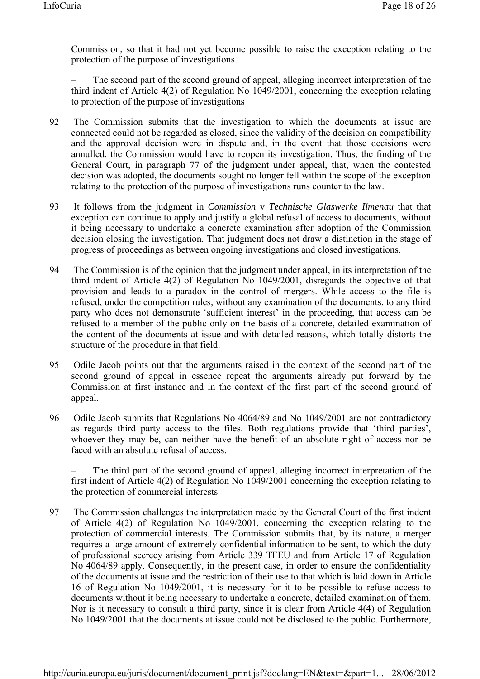Commission, so that it had not yet become possible to raise the exception relating to the protection of the purpose of investigations.

– The second part of the second ground of appeal, alleging incorrect interpretation of the third indent of Article 4(2) of Regulation No 1049/2001, concerning the exception relating to protection of the purpose of investigations

- 92 The Commission submits that the investigation to which the documents at issue are connected could not be regarded as closed, since the validity of the decision on compatibility and the approval decision were in dispute and, in the event that those decisions were annulled, the Commission would have to reopen its investigation. Thus, the finding of the General Court, in paragraph 77 of the judgment under appeal, that, when the contested decision was adopted, the documents sought no longer fell within the scope of the exception relating to the protection of the purpose of investigations runs counter to the law.
- 93 It follows from the judgment in *Commission* v *Technische Glaswerke Ilmenau* that that exception can continue to apply and justify a global refusal of access to documents, without it being necessary to undertake a concrete examination after adoption of the Commission decision closing the investigation. That judgment does not draw a distinction in the stage of progress of proceedings as between ongoing investigations and closed investigations.
- 94 The Commission is of the opinion that the judgment under appeal, in its interpretation of the third indent of Article 4(2) of Regulation No 1049/2001, disregards the objective of that provision and leads to a paradox in the control of mergers. While access to the file is refused, under the competition rules, without any examination of the documents, to any third party who does not demonstrate 'sufficient interest' in the proceeding, that access can be refused to a member of the public only on the basis of a concrete, detailed examination of the content of the documents at issue and with detailed reasons, which totally distorts the structure of the procedure in that field.
- 95 Odile Jacob points out that the arguments raised in the context of the second part of the second ground of appeal in essence repeat the arguments already put forward by the Commission at first instance and in the context of the first part of the second ground of appeal.
- 96 Odile Jacob submits that Regulations No 4064/89 and No 1049/2001 are not contradictory as regards third party access to the files. Both regulations provide that 'third parties', whoever they may be, can neither have the benefit of an absolute right of access nor be faced with an absolute refusal of access.

– The third part of the second ground of appeal, alleging incorrect interpretation of the first indent of Article 4(2) of Regulation No 1049/2001 concerning the exception relating to the protection of commercial interests

97 The Commission challenges the interpretation made by the General Court of the first indent of Article 4(2) of Regulation No 1049/2001, concerning the exception relating to the protection of commercial interests. The Commission submits that, by its nature, a merger requires a large amount of extremely confidential information to be sent, to which the duty of professional secrecy arising from Article 339 TFEU and from Article 17 of Regulation No 4064/89 apply. Consequently, in the present case, in order to ensure the confidentiality of the documents at issue and the restriction of their use to that which is laid down in Article 16 of Regulation No 1049/2001, it is necessary for it to be possible to refuse access to documents without it being necessary to undertake a concrete, detailed examination of them. Nor is it necessary to consult a third party, since it is clear from Article 4(4) of Regulation No 1049/2001 that the documents at issue could not be disclosed to the public. Furthermore,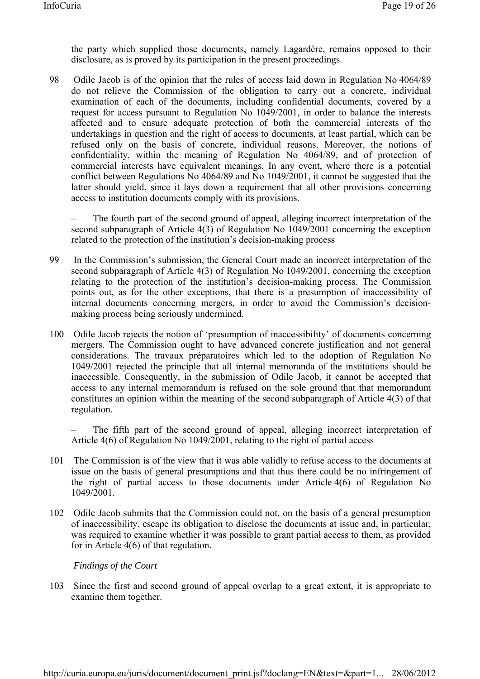the party which supplied those documents, namely Lagardère, remains opposed to their disclosure, as is proved by its participation in the present proceedings.

98 Odile Jacob is of the opinion that the rules of access laid down in Regulation No 4064/89 do not relieve the Commission of the obligation to carry out a concrete, individual examination of each of the documents, including confidential documents, covered by a request for access pursuant to Regulation No 1049/2001, in order to balance the interests affected and to ensure adequate protection of both the commercial interests of the undertakings in question and the right of access to documents, at least partial, which can be refused only on the basis of concrete, individual reasons. Moreover, the notions of confidentiality, within the meaning of Regulation No 4064/89, and of protection of commercial interests have equivalent meanings. In any event, where there is a potential conflict between Regulations No 4064/89 and No 1049/2001, it cannot be suggested that the latter should yield, since it lays down a requirement that all other provisions concerning access to institution documents comply with its provisions.

– The fourth part of the second ground of appeal, alleging incorrect interpretation of the second subparagraph of Article 4(3) of Regulation No 1049/2001 concerning the exception related to the protection of the institution's decision-making process

- 99 In the Commission's submission, the General Court made an incorrect interpretation of the second subparagraph of Article 4(3) of Regulation No 1049/2001, concerning the exception relating to the protection of the institution's decision-making process. The Commission points out, as for the other exceptions, that there is a presumption of inaccessibility of internal documents concerning mergers, in order to avoid the Commission's decisionmaking process being seriously undermined.
- 100 Odile Jacob rejects the notion of 'presumption of inaccessibility' of documents concerning mergers. The Commission ought to have advanced concrete justification and not general considerations. The travaux préparatoires which led to the adoption of Regulation No 1049/2001 rejected the principle that all internal memoranda of the institutions should be inaccessible. Consequently, in the submission of Odile Jacob, it cannot be accepted that access to any internal memorandum is refused on the sole ground that that memorandum constitutes an opinion within the meaning of the second subparagraph of Article 4(3) of that regulation.

– The fifth part of the second ground of appeal, alleging incorrect interpretation of Article 4(6) of Regulation No 1049/2001, relating to the right of partial access

- 101 The Commission is of the view that it was able validly to refuse access to the documents at issue on the basis of general presumptions and that thus there could be no infringement of the right of partial access to those documents under Article 4(6) of Regulation No 1049/2001.
- 102 Odile Jacob submits that the Commission could not, on the basis of a general presumption of inaccessibility, escape its obligation to disclose the documents at issue and, in particular, was required to examine whether it was possible to grant partial access to them, as provided for in Article 4(6) of that regulation.

 *Findings of the Court* 

103 Since the first and second ground of appeal overlap to a great extent, it is appropriate to examine them together.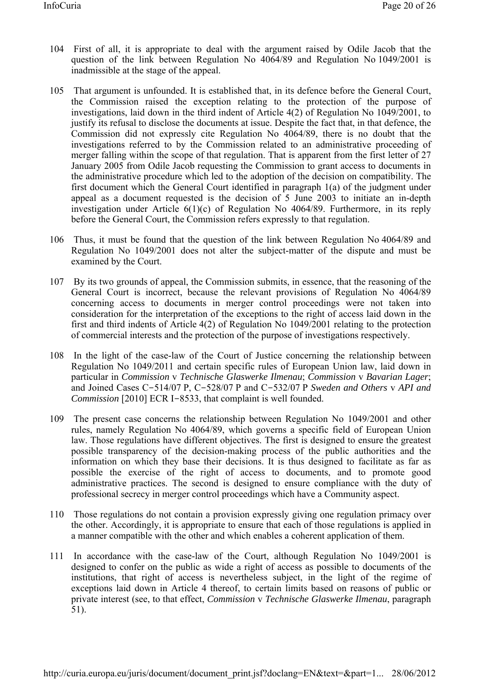- 104 First of all, it is appropriate to deal with the argument raised by Odile Jacob that the question of the link between Regulation No 4064/89 and Regulation No 1049/2001 is inadmissible at the stage of the appeal.
- 105 That argument is unfounded. It is established that, in its defence before the General Court, the Commission raised the exception relating to the protection of the purpose of investigations, laid down in the third indent of Article 4(2) of Regulation No 1049/2001, to justify its refusal to disclose the documents at issue. Despite the fact that, in that defence, the Commission did not expressly cite Regulation No 4064/89, there is no doubt that the investigations referred to by the Commission related to an administrative proceeding of merger falling within the scope of that regulation. That is apparent from the first letter of 27 January 2005 from Odile Jacob requesting the Commission to grant access to documents in the administrative procedure which led to the adoption of the decision on compatibility. The first document which the General Court identified in paragraph 1(a) of the judgment under appeal as a document requested is the decision of 5 June 2003 to initiate an in-depth investigation under Article 6(1)(c) of Regulation No 4064/89. Furthermore, in its reply before the General Court, the Commission refers expressly to that regulation.
- 106 Thus, it must be found that the question of the link between Regulation No 4064/89 and Regulation No 1049/2001 does not alter the subject-matter of the dispute and must be examined by the Court.
- 107 By its two grounds of appeal, the Commission submits, in essence, that the reasoning of the General Court is incorrect, because the relevant provisions of Regulation No 4064/89 concerning access to documents in merger control proceedings were not taken into consideration for the interpretation of the exceptions to the right of access laid down in the first and third indents of Article 4(2) of Regulation No 1049/2001 relating to the protection of commercial interests and the protection of the purpose of investigations respectively.
- 108 In the light of the case-law of the Court of Justice concerning the relationship between Regulation No 1049/2011 and certain specific rules of European Union law, laid down in particular in *Commission* v *Technische Glaswerke Ilmenau*; *Commission* v *Bavarian Lager*; and Joined Cases C-514/07 P, C-528/07 P and C-532/07 P *Sweden and Others* v *API and Commission* [2010] ECR I-8533, that complaint is well founded.
- 109 The present case concerns the relationship between Regulation No 1049/2001 and other rules, namely Regulation No 4064/89, which governs a specific field of European Union law. Those regulations have different objectives. The first is designed to ensure the greatest possible transparency of the decision-making process of the public authorities and the information on which they base their decisions. It is thus designed to facilitate as far as possible the exercise of the right of access to documents, and to promote good administrative practices. The second is designed to ensure compliance with the duty of professional secrecy in merger control proceedings which have a Community aspect.
- 110 Those regulations do not contain a provision expressly giving one regulation primacy over the other. Accordingly, it is appropriate to ensure that each of those regulations is applied in a manner compatible with the other and which enables a coherent application of them.
- 111 In accordance with the case-law of the Court, although Regulation No 1049/2001 is designed to confer on the public as wide a right of access as possible to documents of the institutions, that right of access is nevertheless subject, in the light of the regime of exceptions laid down in Article 4 thereof, to certain limits based on reasons of public or private interest (see, to that effect, *Commission* v *Technische Glaswerke Ilmenau*, paragraph 51).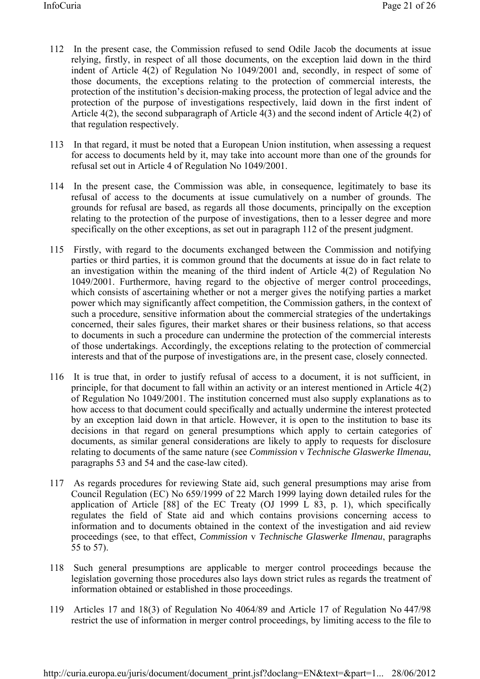- 112 In the present case, the Commission refused to send Odile Jacob the documents at issue relying, firstly, in respect of all those documents, on the exception laid down in the third indent of Article 4(2) of Regulation No 1049/2001 and, secondly, in respect of some of those documents, the exceptions relating to the protection of commercial interests, the protection of the institution's decision-making process, the protection of legal advice and the protection of the purpose of investigations respectively, laid down in the first indent of Article 4(2), the second subparagraph of Article 4(3) and the second indent of Article 4(2) of that regulation respectively.
- 113 In that regard, it must be noted that a European Union institution, when assessing a request for access to documents held by it, may take into account more than one of the grounds for refusal set out in Article 4 of Regulation No 1049/2001.
- 114 In the present case, the Commission was able, in consequence, legitimately to base its refusal of access to the documents at issue cumulatively on a number of grounds. The grounds for refusal are based, as regards all those documents, principally on the exception relating to the protection of the purpose of investigations, then to a lesser degree and more specifically on the other exceptions, as set out in paragraph 112 of the present judgment.
- 115 Firstly, with regard to the documents exchanged between the Commission and notifying parties or third parties, it is common ground that the documents at issue do in fact relate to an investigation within the meaning of the third indent of Article 4(2) of Regulation No 1049/2001. Furthermore, having regard to the objective of merger control proceedings, which consists of ascertaining whether or not a merger gives the notifying parties a market power which may significantly affect competition, the Commission gathers, in the context of such a procedure, sensitive information about the commercial strategies of the undertakings concerned, their sales figures, their market shares or their business relations, so that access to documents in such a procedure can undermine the protection of the commercial interests of those undertakings. Accordingly, the exceptions relating to the protection of commercial interests and that of the purpose of investigations are, in the present case, closely connected.
- 116 It is true that, in order to justify refusal of access to a document, it is not sufficient, in principle, for that document to fall within an activity or an interest mentioned in Article 4(2) of Regulation No 1049/2001. The institution concerned must also supply explanations as to how access to that document could specifically and actually undermine the interest protected by an exception laid down in that article. However, it is open to the institution to base its decisions in that regard on general presumptions which apply to certain categories of documents, as similar general considerations are likely to apply to requests for disclosure relating to documents of the same nature (see *Commission* v *Technische Glaswerke Ilmenau*, paragraphs 53 and 54 and the case-law cited).
- 117 As regards procedures for reviewing State aid, such general presumptions may arise from Council Regulation (EC) No 659/1999 of 22 March 1999 laying down detailed rules for the application of Article [88] of the EC Treaty (OJ 1999 L 83, p. 1), which specifically regulates the field of State aid and which contains provisions concerning access to information and to documents obtained in the context of the investigation and aid review proceedings (see, to that effect, *Commission* v *Technische Glaswerke Ilmenau*, paragraphs 55 to 57).
- 118 Such general presumptions are applicable to merger control proceedings because the legislation governing those procedures also lays down strict rules as regards the treatment of information obtained or established in those proceedings.
- 119 Articles 17 and 18(3) of Regulation No 4064/89 and Article 17 of Regulation No 447/98 restrict the use of information in merger control proceedings, by limiting access to the file to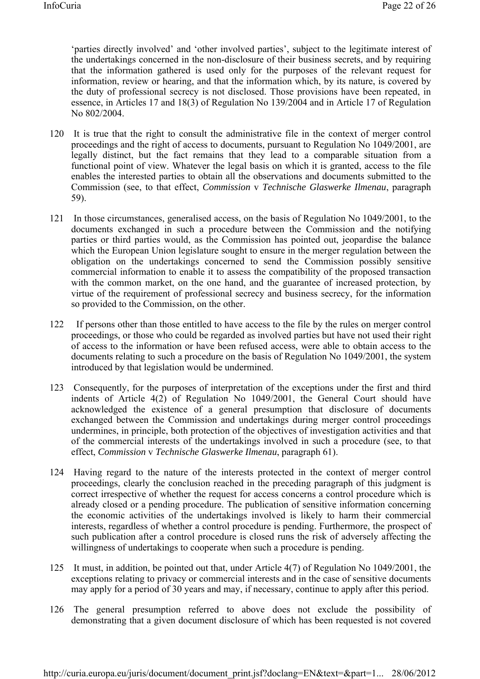'parties directly involved' and 'other involved parties', subject to the legitimate interest of the undertakings concerned in the non-disclosure of their business secrets, and by requiring that the information gathered is used only for the purposes of the relevant request for information, review or hearing, and that the information which, by its nature, is covered by the duty of professional secrecy is not disclosed. Those provisions have been repeated, in essence, in Articles 17 and 18(3) of Regulation No 139/2004 and in Article 17 of Regulation No 802/2004.

- 120 It is true that the right to consult the administrative file in the context of merger control proceedings and the right of access to documents, pursuant to Regulation No 1049/2001, are legally distinct, but the fact remains that they lead to a comparable situation from a functional point of view. Whatever the legal basis on which it is granted, access to the file enables the interested parties to obtain all the observations and documents submitted to the Commission (see, to that effect, *Commission* v *Technische Glaswerke Ilmenau*, paragraph 59).
- 121 In those circumstances, generalised access, on the basis of Regulation No 1049/2001, to the documents exchanged in such a procedure between the Commission and the notifying parties or third parties would, as the Commission has pointed out, jeopardise the balance which the European Union legislature sought to ensure in the merger regulation between the obligation on the undertakings concerned to send the Commission possibly sensitive commercial information to enable it to assess the compatibility of the proposed transaction with the common market, on the one hand, and the guarantee of increased protection, by virtue of the requirement of professional secrecy and business secrecy, for the information so provided to the Commission, on the other.
- 122 If persons other than those entitled to have access to the file by the rules on merger control proceedings, or those who could be regarded as involved parties but have not used their right of access to the information or have been refused access, were able to obtain access to the documents relating to such a procedure on the basis of Regulation No 1049/2001, the system introduced by that legislation would be undermined.
- 123 Consequently, for the purposes of interpretation of the exceptions under the first and third indents of Article 4(2) of Regulation No 1049/2001, the General Court should have acknowledged the existence of a general presumption that disclosure of documents exchanged between the Commission and undertakings during merger control proceedings undermines, in principle, both protection of the objectives of investigation activities and that of the commercial interests of the undertakings involved in such a procedure (see, to that effect, *Commission* v *Technische Glaswerke Ilmenau*, paragraph 61).
- 124 Having regard to the nature of the interests protected in the context of merger control proceedings, clearly the conclusion reached in the preceding paragraph of this judgment is correct irrespective of whether the request for access concerns a control procedure which is already closed or a pending procedure. The publication of sensitive information concerning the economic activities of the undertakings involved is likely to harm their commercial interests, regardless of whether a control procedure is pending. Furthermore, the prospect of such publication after a control procedure is closed runs the risk of adversely affecting the willingness of undertakings to cooperate when such a procedure is pending.
- 125 It must, in addition, be pointed out that, under Article 4(7) of Regulation No 1049/2001, the exceptions relating to privacy or commercial interests and in the case of sensitive documents may apply for a period of 30 years and may, if necessary, continue to apply after this period.
- 126 The general presumption referred to above does not exclude the possibility of demonstrating that a given document disclosure of which has been requested is not covered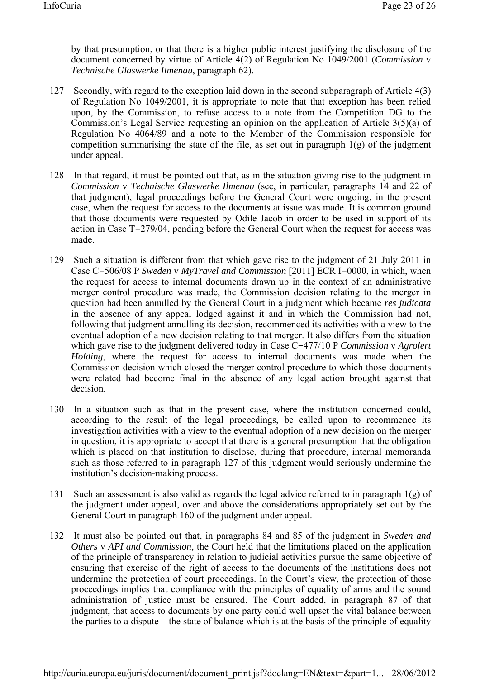by that presumption, or that there is a higher public interest justifying the disclosure of the document concerned by virtue of Article 4(2) of Regulation No 1049/2001 (*Commission* v *Technische Glaswerke Ilmenau*, paragraph 62).

- 127 Secondly, with regard to the exception laid down in the second subparagraph of Article 4(3) of Regulation No 1049/2001, it is appropriate to note that that exception has been relied upon, by the Commission, to refuse access to a note from the Competition DG to the Commission's Legal Service requesting an opinion on the application of Article 3(5)(a) of Regulation No 4064/89 and a note to the Member of the Commission responsible for competition summarising the state of the file, as set out in paragraph  $1(g)$  of the judgment under appeal.
- 128 In that regard, it must be pointed out that, as in the situation giving rise to the judgment in *Commission* v *Technische Glaswerke Ilmenau* (see, in particular, paragraphs 14 and 22 of that judgment), legal proceedings before the General Court were ongoing, in the present case, when the request for access to the documents at issue was made. It is common ground that those documents were requested by Odile Jacob in order to be used in support of its action in Case T-279/04, pending before the General Court when the request for access was made.
- 129 Such a situation is different from that which gave rise to the judgment of 21 July 2011 in Case C-506/08 P *Sweden* v *MyTravel and Commission* [2011] ECR I-0000, in which, when the request for access to internal documents drawn up in the context of an administrative merger control procedure was made, the Commission decision relating to the merger in question had been annulled by the General Court in a judgment which became *res judicata*  in the absence of any appeal lodged against it and in which the Commission had not, following that judgment annulling its decision, recommenced its activities with a view to the eventual adoption of a new decision relating to that merger. It also differs from the situation which gave rise to the judgment delivered today in Case C-477/10 P *Commission* v *Agrofert Holding*, where the request for access to internal documents was made when the Commission decision which closed the merger control procedure to which those documents were related had become final in the absence of any legal action brought against that decision.
- 130 In a situation such as that in the present case, where the institution concerned could, according to the result of the legal proceedings, be called upon to recommence its investigation activities with a view to the eventual adoption of a new decision on the merger in question, it is appropriate to accept that there is a general presumption that the obligation which is placed on that institution to disclose, during that procedure, internal memoranda such as those referred to in paragraph 127 of this judgment would seriously undermine the institution's decision-making process.
- 131 Such an assessment is also valid as regards the legal advice referred to in paragraph 1(g) of the judgment under appeal, over and above the considerations appropriately set out by the General Court in paragraph 160 of the judgment under appeal.
- 132 It must also be pointed out that, in paragraphs 84 and 85 of the judgment in *Sweden and Others* v *API and Commission*, the Court held that the limitations placed on the application of the principle of transparency in relation to judicial activities pursue the same objective of ensuring that exercise of the right of access to the documents of the institutions does not undermine the protection of court proceedings. In the Court's view, the protection of those proceedings implies that compliance with the principles of equality of arms and the sound administration of justice must be ensured. The Court added, in paragraph 87 of that judgment, that access to documents by one party could well upset the vital balance between the parties to a dispute – the state of balance which is at the basis of the principle of equality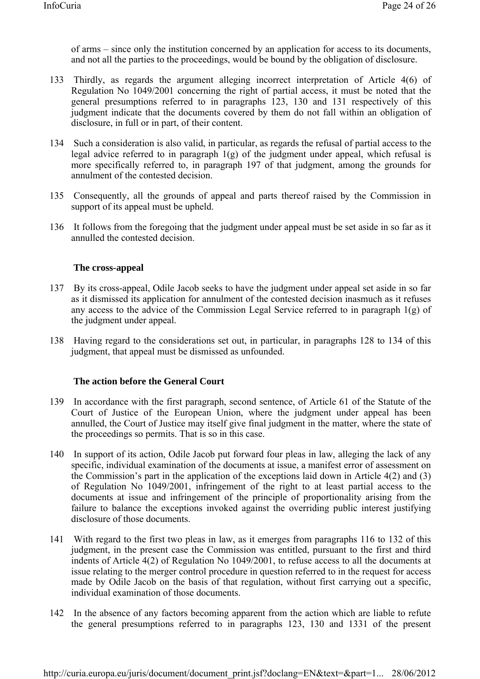of arms – since only the institution concerned by an application for access to its documents, and not all the parties to the proceedings, would be bound by the obligation of disclosure.

- 133 Thirdly, as regards the argument alleging incorrect interpretation of Article 4(6) of Regulation No 1049/2001 concerning the right of partial access, it must be noted that the general presumptions referred to in paragraphs 123, 130 and 131 respectively of this judgment indicate that the documents covered by them do not fall within an obligation of disclosure, in full or in part, of their content.
- 134 Such a consideration is also valid, in particular, as regards the refusal of partial access to the legal advice referred to in paragraph 1(g) of the judgment under appeal, which refusal is more specifically referred to, in paragraph 197 of that judgment, among the grounds for annulment of the contested decision.
- 135 Consequently, all the grounds of appeal and parts thereof raised by the Commission in support of its appeal must be upheld.
- 136 It follows from the foregoing that the judgment under appeal must be set aside in so far as it annulled the contested decision.

### **The cross-appeal**

- 137 By its cross-appeal, Odile Jacob seeks to have the judgment under appeal set aside in so far as it dismissed its application for annulment of the contested decision inasmuch as it refuses any access to the advice of the Commission Legal Service referred to in paragraph 1(g) of the judgment under appeal.
- 138 Having regard to the considerations set out, in particular, in paragraphs 128 to 134 of this judgment, that appeal must be dismissed as unfounded.

### **The action before the General Court**

- 139 In accordance with the first paragraph, second sentence, of Article 61 of the Statute of the Court of Justice of the European Union, where the judgment under appeal has been annulled, the Court of Justice may itself give final judgment in the matter, where the state of the proceedings so permits. That is so in this case.
- 140 In support of its action, Odile Jacob put forward four pleas in law, alleging the lack of any specific, individual examination of the documents at issue, a manifest error of assessment on the Commission's part in the application of the exceptions laid down in Article 4(2) and (3) of Regulation No 1049/2001, infringement of the right to at least partial access to the documents at issue and infringement of the principle of proportionality arising from the failure to balance the exceptions invoked against the overriding public interest justifying disclosure of those documents.
- 141 With regard to the first two pleas in law, as it emerges from paragraphs 116 to 132 of this judgment, in the present case the Commission was entitled, pursuant to the first and third indents of Article 4(2) of Regulation No 1049/2001, to refuse access to all the documents at issue relating to the merger control procedure in question referred to in the request for access made by Odile Jacob on the basis of that regulation, without first carrying out a specific, individual examination of those documents.
- 142 In the absence of any factors becoming apparent from the action which are liable to refute the general presumptions referred to in paragraphs 123, 130 and 1331 of the present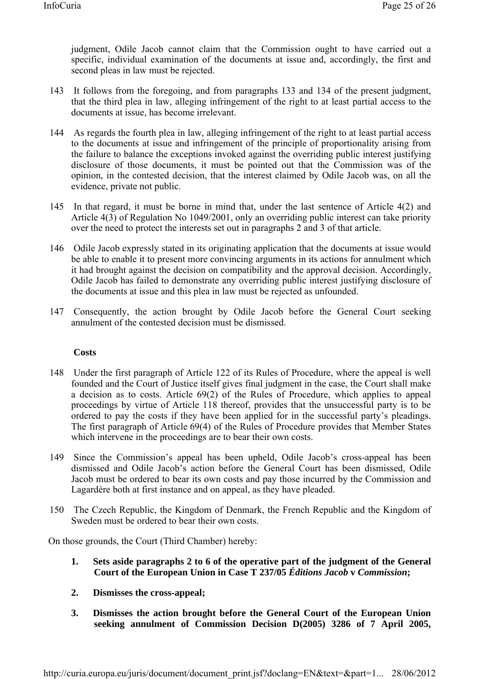judgment, Odile Jacob cannot claim that the Commission ought to have carried out a specific, individual examination of the documents at issue and, accordingly, the first and second pleas in law must be rejected.

- 143 It follows from the foregoing, and from paragraphs 133 and 134 of the present judgment, that the third plea in law, alleging infringement of the right to at least partial access to the documents at issue, has become irrelevant.
- 144 As regards the fourth plea in law, alleging infringement of the right to at least partial access to the documents at issue and infringement of the principle of proportionality arising from the failure to balance the exceptions invoked against the overriding public interest justifying disclosure of those documents, it must be pointed out that the Commission was of the opinion, in the contested decision, that the interest claimed by Odile Jacob was, on all the evidence, private not public.
- 145 In that regard, it must be borne in mind that, under the last sentence of Article 4(2) and Article 4(3) of Regulation No 1049/2001, only an overriding public interest can take priority over the need to protect the interests set out in paragraphs 2 and 3 of that article.
- 146 Odile Jacob expressly stated in its originating application that the documents at issue would be able to enable it to present more convincing arguments in its actions for annulment which it had brought against the decision on compatibility and the approval decision. Accordingly, Odile Jacob has failed to demonstrate any overriding public interest justifying disclosure of the documents at issue and this plea in law must be rejected as unfounded.
- 147 Consequently, the action brought by Odile Jacob before the General Court seeking annulment of the contested decision must be dismissed.

### **Costs**

- 148 Under the first paragraph of Article 122 of its Rules of Procedure, where the appeal is well founded and the Court of Justice itself gives final judgment in the case, the Court shall make a decision as to costs. Article 69(2) of the Rules of Procedure, which applies to appeal proceedings by virtue of Article 118 thereof, provides that the unsuccessful party is to be ordered to pay the costs if they have been applied for in the successful party's pleadings. The first paragraph of Article 69(4) of the Rules of Procedure provides that Member States which intervene in the proceedings are to bear their own costs.
- 149 Since the Commission's appeal has been upheld, Odile Jacob's cross-appeal has been dismissed and Odile Jacob's action before the General Court has been dismissed, Odile Jacob must be ordered to bear its own costs and pay those incurred by the Commission and Lagardère both at first instance and on appeal, as they have pleaded.
- 150 The Czech Republic, the Kingdom of Denmark, the French Republic and the Kingdom of Sweden must be ordered to bear their own costs.

On those grounds, the Court (Third Chamber) hereby:

- **1. Sets aside paragraphs 2 to 6 of the operative part of the judgment of the General Court of the European Union in Case T 237/05** *Éditions Jacob* **v** *Commission***;**
- **2. Dismisses the cross-appeal;**
- **3. Dismisses the action brought before the General Court of the European Union seeking annulment of Commission Decision D(2005) 3286 of 7 April 2005,**